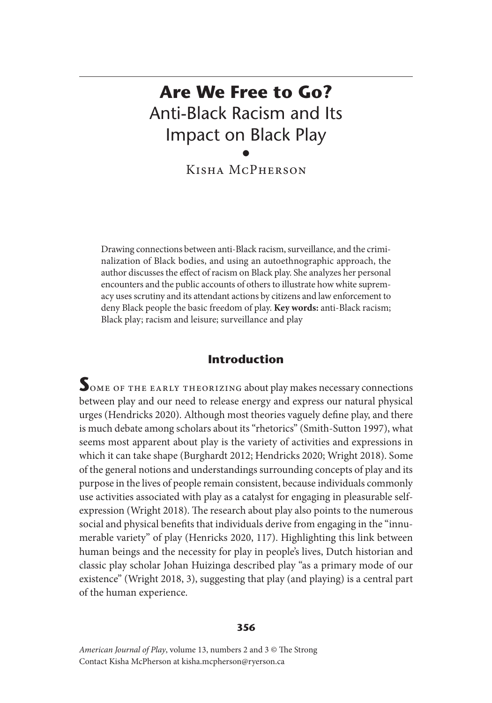# **Are We Free to Go?** Anti-Black Racism and Its Impact on Black Play •

Kisha McPherson

Drawing connections between anti-Black racism, surveillance, and the criminalization of Black bodies, and using an autoethnographic approach, the author discusses the effect of racism on Black play. She analyzes her personal encounters and the public accounts of others to illustrate how white supremacy uses scrutiny and its attendant actions by citizens and law enforcement to deny Black people the basic freedom of play. **Key words:** anti-Black racism; Black play; racism and leisure; surveillance and play

# **Introduction**

SOME OF THE EARLY THEORIZING about play makes necessary connections between play and our need to release energy and express our natural physical urges (Hendricks 2020). Although most theories vaguely define play, and there is much debate among scholars about its "rhetorics" (Smith-Sutton 1997), what seems most apparent about play is the variety of activities and expressions in which it can take shape (Burghardt 2012; Hendricks 2020; Wright 2018). Some of the general notions and understandings surrounding concepts of play and its purpose in the lives of people remain consistent, because individuals commonly use activities associated with play as a catalyst for engaging in pleasurable selfexpression (Wright 2018). The research about play also points to the numerous social and physical benefits that individuals derive from engaging in the "innumerable variety" of play (Henricks 2020, 117). Highlighting this link between human beings and the necessity for play in people's lives, Dutch historian and classic play scholar Johan Huizinga described play "as a primary mode of our existence" (Wright 2018, 3), suggesting that play (and playing) is a central part of the human experience.

#### **356**

*American Journal of Play*, volume 13, numbers 2 and 3 © The Strong Contact Kisha McPherson at kisha.mcpherson@ryerson.ca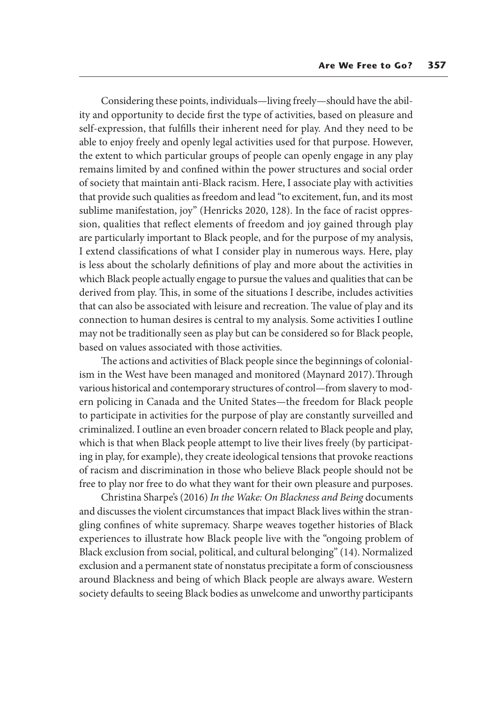Considering these points, individuals—living freely—should have the ability and opportunity to decide first the type of activities, based on pleasure and self-expression, that fulfills their inherent need for play. And they need to be able to enjoy freely and openly legal activities used for that purpose. However, the extent to which particular groups of people can openly engage in any play remains limited by and confined within the power structures and social order of society that maintain anti-Black racism. Here, I associate play with activities that provide such qualities as freedom and lead "to excitement, fun, and its most sublime manifestation, joy" (Henricks 2020, 128). In the face of racist oppression, qualities that reflect elements of freedom and joy gained through play are particularly important to Black people, and for the purpose of my analysis, I extend classifications of what I consider play in numerous ways. Here, play is less about the scholarly definitions of play and more about the activities in which Black people actually engage to pursue the values and qualities that can be derived from play. This, in some of the situations I describe, includes activities that can also be associated with leisure and recreation. The value of play and its connection to human desires is central to my analysis. Some activities I outline may not be traditionally seen as play but can be considered so for Black people, based on values associated with those activities.

The actions and activities of Black people since the beginnings of colonialism in the West have been managed and monitored (Maynard 2017). Through various historical and contemporary structures of control—from slavery to modern policing in Canada and the United States—the freedom for Black people to participate in activities for the purpose of play are constantly surveilled and criminalized. I outline an even broader concern related to Black people and play, which is that when Black people attempt to live their lives freely (by participating in play, for example), they create ideological tensions that provoke reactions of racism and discrimination in those who believe Black people should not be free to play nor free to do what they want for their own pleasure and purposes.

Christina Sharpe's (2016) *In the Wake: On Blackness and Being* documents and discusses the violent circumstances that impact Black lives within the strangling confines of white supremacy. Sharpe weaves together histories of Black experiences to illustrate how Black people live with the "ongoing problem of Black exclusion from social, political, and cultural belonging" (14). Normalized exclusion and a permanent state of nonstatus precipitate a form of consciousness around Blackness and being of which Black people are always aware. Western society defaults to seeing Black bodies as unwelcome and unworthy participants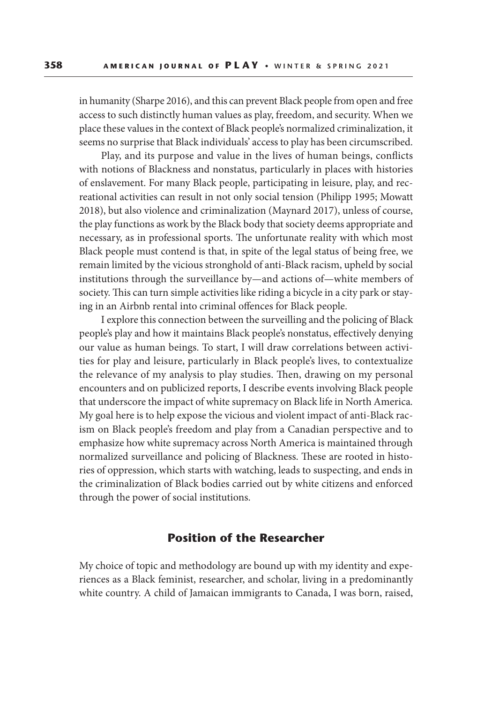in humanity (Sharpe 2016), and this can prevent Black people from open and free access to such distinctly human values as play, freedom, and security. When we place these values in the context of Black people's normalized criminalization, it seems no surprise that Black individuals' access to play has been circumscribed.

Play, and its purpose and value in the lives of human beings, conflicts with notions of Blackness and nonstatus, particularly in places with histories of enslavement. For many Black people, participating in leisure, play, and recreational activities can result in not only social tension (Philipp 1995; Mowatt 2018), but also violence and criminalization (Maynard 2017), unless of course, the play functions as work by the Black body that society deems appropriate and necessary, as in professional sports. The unfortunate reality with which most Black people must contend is that, in spite of the legal status of being free, we remain limited by the vicious stronghold of anti-Black racism, upheld by social institutions through the surveillance by—and actions of—white members of society. This can turn simple activities like riding a bicycle in a city park or staying in an Airbnb rental into criminal offences for Black people.

I explore this connection between the surveilling and the policing of Black people's play and how it maintains Black people's nonstatus, effectively denying our value as human beings. To start, I will draw correlations between activities for play and leisure, particularly in Black people's lives, to contextualize the relevance of my analysis to play studies. Then, drawing on my personal encounters and on publicized reports, I describe events involving Black people that underscore the impact of white supremacy on Black life in North America*.*  My goal here is to help expose the vicious and violent impact of anti-Black racism on Black people's freedom and play from a Canadian perspective and to emphasize how white supremacy across North America is maintained through normalized surveillance and policing of Blackness. These are rooted in histories of oppression, which starts with watching, leads to suspecting, and ends in the criminalization of Black bodies carried out by white citizens and enforced through the power of social institutions.

#### **Position of the Researcher**

My choice of topic and methodology are bound up with my identity and experiences as a Black feminist, researcher, and scholar, living in a predominantly white country. A child of Jamaican immigrants to Canada, I was born, raised,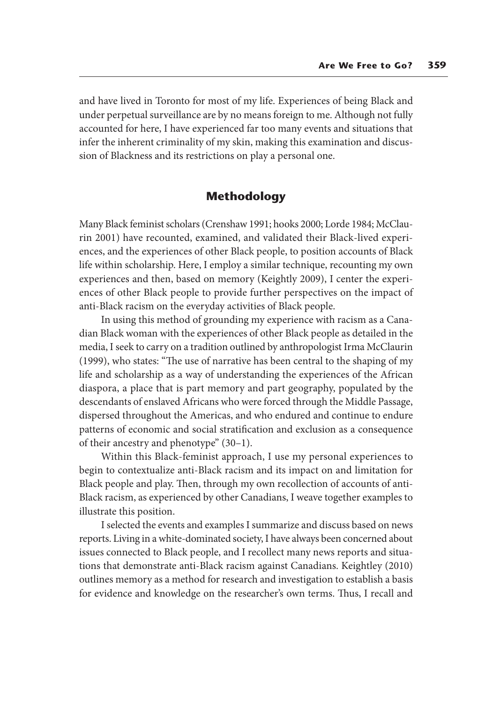and have lived in Toronto for most of my life. Experiences of being Black and under perpetual surveillance are by no means foreign to me. Although not fully accounted for here, I have experienced far too many events and situations that infer the inherent criminality of my skin, making this examination and discussion of Blackness and its restrictions on play a personal one.

## **Methodology**

Many Black feminist scholars (Crenshaw 1991; hooks 2000; Lorde 1984; McClaurin 2001) have recounted, examined, and validated their Black-lived experiences, and the experiences of other Black people, to position accounts of Black life within scholarship. Here, I employ a similar technique, recounting my own experiences and then, based on memory (Keightly 2009), I center the experiences of other Black people to provide further perspectives on the impact of anti-Black racism on the everyday activities of Black people.

In using this method of grounding my experience with racism as a Canadian Black woman with the experiences of other Black people as detailed in the media, I seek to carry on a tradition outlined by anthropologist Irma McClaurin (1999), who states: "The use of narrative has been central to the shaping of my life and scholarship as a way of understanding the experiences of the African diaspora, a place that is part memory and part geography, populated by the descendants of enslaved Africans who were forced through the Middle Passage, dispersed throughout the Americas, and who endured and continue to endure patterns of economic and social stratification and exclusion as a consequence of their ancestry and phenotype" (30–1).

Within this Black-feminist approach, I use my personal experiences to begin to contextualize anti-Black racism and its impact on and limitation for Black people and play. Then, through my own recollection of accounts of anti-Black racism, as experienced by other Canadians, I weave together examples to illustrate this position.

I selected the events and examples I summarize and discuss based on news reports. Living in a white-dominated society, I have always been concerned about issues connected to Black people, and I recollect many news reports and situations that demonstrate anti-Black racism against Canadians. Keightley (2010) outlines memory as a method for research and investigation to establish a basis for evidence and knowledge on the researcher's own terms. Thus, I recall and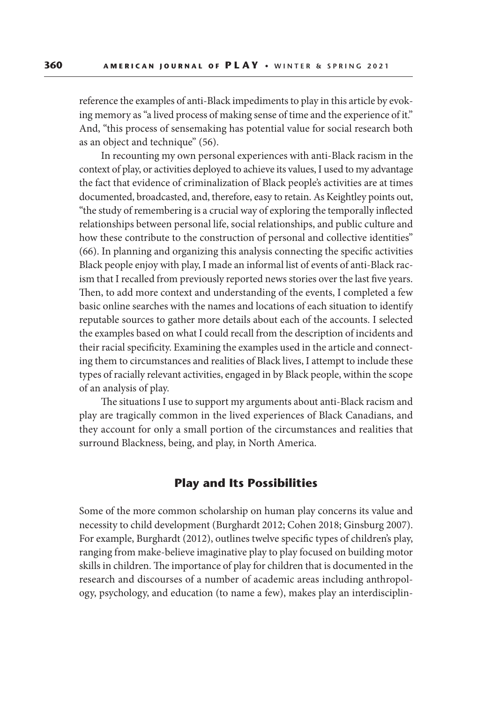reference the examples of anti-Black impediments to play in this article by evoking memory as "a lived process of making sense of time and the experience of it." And, "this process of sensemaking has potential value for social research both as an object and technique" (56).

In recounting my own personal experiences with anti-Black racism in the context of play, or activities deployed to achieve its values, I used to my advantage the fact that evidence of criminalization of Black people's activities are at times documented, broadcasted, and, therefore, easy to retain. As Keightley points out, "the study of remembering is a crucial way of exploring the temporally inflected relationships between personal life, social relationships, and public culture and how these contribute to the construction of personal and collective identities" (66). In planning and organizing this analysis connecting the specific activities Black people enjoy with play, I made an informal list of events of anti-Black racism that I recalled from previously reported news stories over the last five years. Then, to add more context and understanding of the events, I completed a few basic online searches with the names and locations of each situation to identify reputable sources to gather more details about each of the accounts. I selected the examples based on what I could recall from the description of incidents and their racial specificity. Examining the examples used in the article and connecting them to circumstances and realities of Black lives, I attempt to include these types of racially relevant activities, engaged in by Black people, within the scope of an analysis of play.

The situations I use to support my arguments about anti-Black racism and play are tragically common in the lived experiences of Black Canadians, and they account for only a small portion of the circumstances and realities that surround Blackness, being, and play, in North America.

### **Play and Its Possibilities**

Some of the more common scholarship on human play concerns its value and necessity to child development (Burghardt 2012; Cohen 2018; Ginsburg 2007). For example, Burghardt (2012), outlines twelve specific types of children's play, ranging from make-believe imaginative play to play focused on building motor skills in children. The importance of play for children that is documented in the research and discourses of a number of academic areas including anthropology, psychology, and education (to name a few), makes play an interdisciplin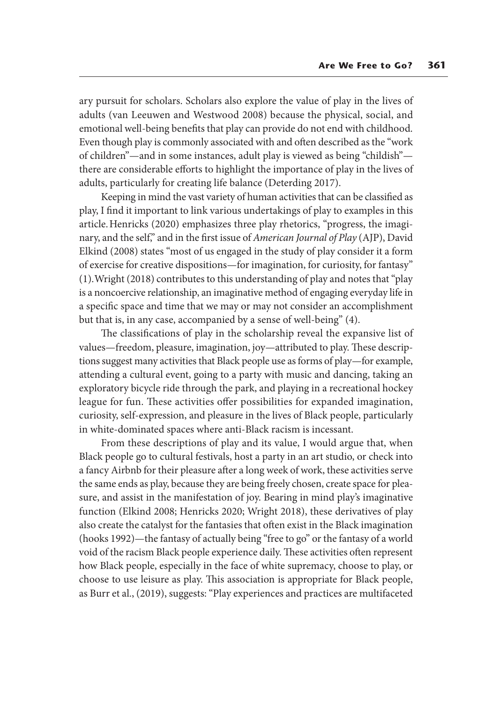ary pursuit for scholars. Scholars also explore the value of play in the lives of adults (van Leeuwen and Westwood 2008) because the physical, social, and emotional well-being benefits that play can provide do not end with childhood. Even though play is commonly associated with and often described as the "work of children"—and in some instances, adult play is viewed as being "childish" there are considerable efforts to highlight the importance of play in the lives of adults, particularly for creating life balance (Deterding 2017).

Keeping in mind the vast variety of human activities that can be classified as play, I find it important to link various undertakings of play to examples in this article. Henricks (2020) emphasizes three play rhetorics, "progress, the imaginary, and the self," and in the first issue of *American Journal of Play* (AJP), David Elkind (2008) states "most of us engaged in the study of play consider it a form of exercise for creative dispositions—for imagination, for curiosity, for fantasy" (1). Wright (2018) contributes to this understanding of play and notes that "play is a noncoercive relationship, an imaginative method of engaging everyday life in a specific space and time that we may or may not consider an accomplishment but that is, in any case, accompanied by a sense of well-being" (4).

The classifications of play in the scholarship reveal the expansive list of values—freedom, pleasure, imagination, joy—attributed to play. These descriptions suggest many activities that Black people use as forms of play—for example, attending a cultural event, going to a party with music and dancing, taking an exploratory bicycle ride through the park, and playing in a recreational hockey league for fun. These activities offer possibilities for expanded imagination, curiosity, self-expression, and pleasure in the lives of Black people, particularly in white-dominated spaces where anti-Black racism is incessant.

From these descriptions of play and its value, I would argue that, when Black people go to cultural festivals, host a party in an art studio, or check into a fancy Airbnb for their pleasure after a long week of work, these activities serve the same ends as play, because they are being freely chosen, create space for pleasure, and assist in the manifestation of joy. Bearing in mind play's imaginative function (Elkind 2008; Henricks 2020; Wright 2018), these derivatives of play also create the catalyst for the fantasies that often exist in the Black imagination (hooks 1992)—the fantasy of actually being "free to go" or the fantasy of a world void of the racism Black people experience daily. These activities often represent how Black people, especially in the face of white supremacy, choose to play, or choose to use leisure as play. This association is appropriate for Black people, as Burr et al., (2019), suggests: "Play experiences and practices are multifaceted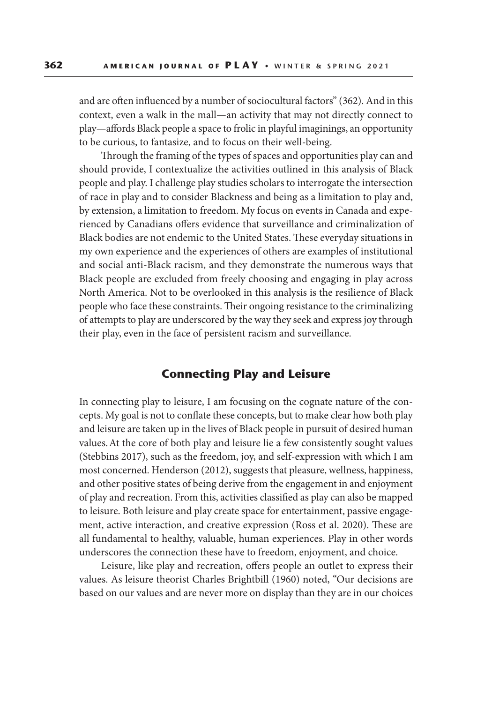and are often influenced by a number of sociocultural factors" (362). And in this context, even a walk in the mall—an activity that may not directly connect to play—affords Black people a space to frolic in playful imaginings, an opportunity to be curious, to fantasize, and to focus on their well-being.

Through the framing of the types of spaces and opportunities play can and should provide, I contextualize the activities outlined in this analysis of Black people and play. I challenge play studies scholars to interrogate the intersection of race in play and to consider Blackness and being as a limitation to play and, by extension, a limitation to freedom. My focus on events in Canada and experienced by Canadians offers evidence that surveillance and criminalization of Black bodies are not endemic to the United States. These everyday situations in my own experience and the experiences of others are examples of institutional and social anti-Black racism, and they demonstrate the numerous ways that Black people are excluded from freely choosing and engaging in play across North America. Not to be overlooked in this analysis is the resilience of Black people who face these constraints. Their ongoing resistance to the criminalizing of attempts to play are underscored by the way they seek and express joy through their play, even in the face of persistent racism and surveillance.

# **Connecting Play and Leisure**

In connecting play to leisure, I am focusing on the cognate nature of the concepts. My goal is not to conflate these concepts, but to make clear how both play and leisure are taken up in the lives of Black people in pursuit of desired human values. At the core of both play and leisure lie a few consistently sought values (Stebbins 2017), such as the freedom, joy, and self-expression with which I am most concerned. Henderson (2012), suggests that pleasure, wellness, happiness, and other positive states of being derive from the engagement in and enjoyment of play and recreation. From this, activities classified as play can also be mapped to leisure. Both leisure and play create space for entertainment, passive engagement, active interaction, and creative expression (Ross et al. 2020). These are all fundamental to healthy, valuable, human experiences. Play in other words underscores the connection these have to freedom, enjoyment, and choice.

Leisure, like play and recreation, offers people an outlet to express their values. As leisure theorist Charles Brightbill (1960) noted, "Our decisions are based on our values and are never more on display than they are in our choices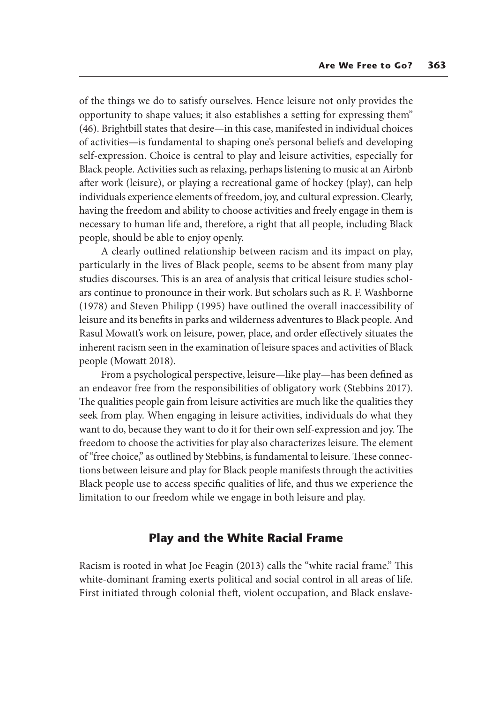of the things we do to satisfy ourselves. Hence leisure not only provides the opportunity to shape values; it also establishes a setting for expressing them" (46). Brightbill states that desire—in this case, manifested in individual choices of activities—is fundamental to shaping one's personal beliefs and developing self-expression. Choice is central to play and leisure activities, especially for Black people. Activities such as relaxing, perhaps listening to music at an Airbnb after work (leisure), or playing a recreational game of hockey (play), can help individuals experience elements of freedom, joy, and cultural expression. Clearly, having the freedom and ability to choose activities and freely engage in them is necessary to human life and, therefore, a right that all people, including Black people, should be able to enjoy openly.

A clearly outlined relationship between racism and its impact on play, particularly in the lives of Black people, seems to be absent from many play studies discourses. This is an area of analysis that critical leisure studies scholars continue to pronounce in their work. But scholars such as R. F. Washborne (1978) and Steven Philipp (1995) have outlined the overall inaccessibility of leisure and its benefits in parks and wilderness adventures to Black people. And Rasul Mowatt's work on leisure, power, place, and order effectively situates the inherent racism seen in the examination of leisure spaces and activities of Black people (Mowatt 2018).

From a psychological perspective, leisure—like play—has been defined as an endeavor free from the responsibilities of obligatory work (Stebbins 2017). The qualities people gain from leisure activities are much like the qualities they seek from play. When engaging in leisure activities, individuals do what they want to do, because they want to do it for their own self-expression and joy. The freedom to choose the activities for play also characterizes leisure. The element of "free choice," as outlined by Stebbins, is fundamental to leisure. These connections between leisure and play for Black people manifests through the activities Black people use to access specific qualities of life, and thus we experience the limitation to our freedom while we engage in both leisure and play.

### **Play and the White Racial Frame**

Racism is rooted in what Joe Feagin (2013) calls the "white racial frame." This white-dominant framing exerts political and social control in all areas of life. First initiated through colonial theft, violent occupation, and Black enslave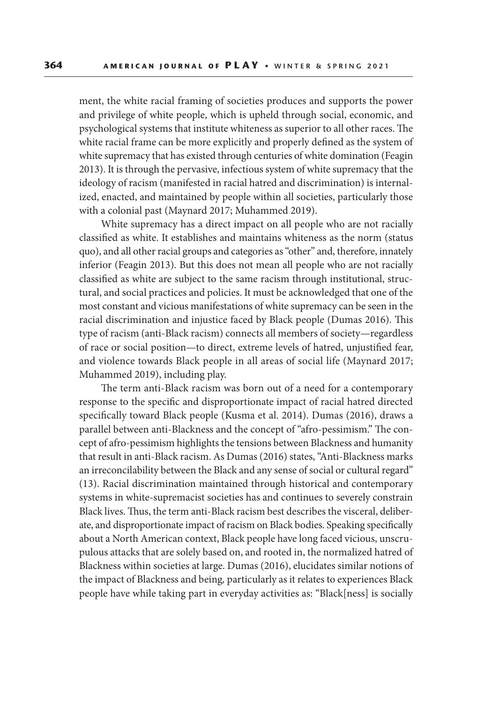ment, the white racial framing of societies produces and supports the power and privilege of white people, which is upheld through social, economic, and psychological systems that institute whiteness as superior to all other races. The white racial frame can be more explicitly and properly defined as the system of white supremacy that has existed through centuries of white domination (Feagin 2013). It is through the pervasive, infectious system of white supremacy that the ideology of racism (manifested in racial hatred and discrimination) is internalized, enacted, and maintained by people within all societies, particularly those with a colonial past (Maynard 2017; Muhammed 2019).

White supremacy has a direct impact on all people who are not racially classified as white. It establishes and maintains whiteness as the norm (status quo), and all other racial groups and categories as "other" and, therefore, innately inferior (Feagin 2013). But this does not mean all people who are not racially classified as white are subject to the same racism through institutional, structural, and social practices and policies. It must be acknowledged that one of the most constant and vicious manifestations of white supremacy can be seen in the racial discrimination and injustice faced by Black people (Dumas 2016). This type of racism (anti-Black racism) connects all members of society—regardless of race or social position—to direct, extreme levels of hatred, unjustified fear, and violence towards Black people in all areas of social life (Maynard 2017; Muhammed 2019), including play.

The term anti-Black racism was born out of a need for a contemporary response to the specific and disproportionate impact of racial hatred directed specifically toward Black people (Kusma et al. 2014). Dumas (2016), draws a parallel between anti-Blackness and the concept of "afro-pessimism." The concept of afro-pessimism highlights the tensions between Blackness and humanity that result in anti-Black racism. As Dumas (2016) states, "Anti-Blackness marks an irreconcilability between the Black and any sense of social or cultural regard" (13). Racial discrimination maintained through historical and contemporary systems in white-supremacist societies has and continues to severely constrain Black lives. Thus, the term anti-Black racism best describes the visceral, deliberate, and disproportionate impact of racism on Black bodies. Speaking specifically about a North American context, Black people have long faced vicious, unscrupulous attacks that are solely based on, and rooted in, the normalized hatred of Blackness within societies at large. Dumas (2016), elucidates similar notions of the impact of Blackness and being*,* particularly as it relates to experiences Black people have while taking part in everyday activities as: "Black[ness] is socially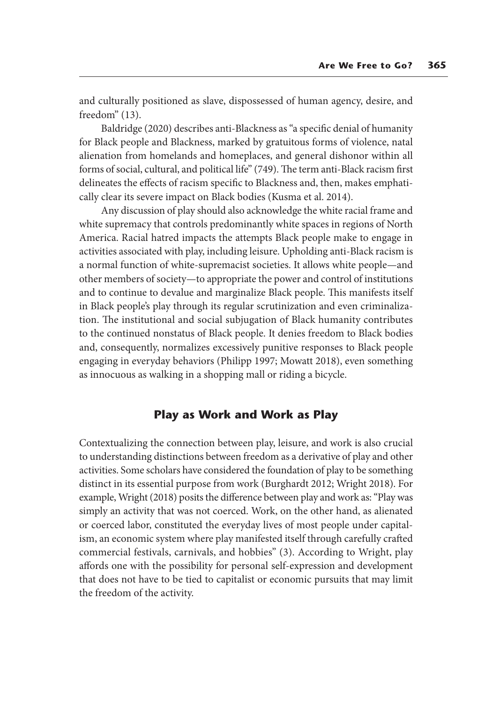and culturally positioned as slave, dispossessed of human agency, desire, and freedom" (13).

Baldridge (2020) describes anti-Blackness as "a specific denial of humanity for Black people and Blackness, marked by gratuitous forms of violence, natal alienation from homelands and homeplaces, and general dishonor within all forms of social, cultural, and political life" (749). The term anti-Black racism first delineates the effects of racism specific to Blackness and, then, makes emphatically clear its severe impact on Black bodies (Kusma et al. 2014).

Any discussion of play should also acknowledge the white racial frame and white supremacy that controls predominantly white spaces in regions of North America. Racial hatred impacts the attempts Black people make to engage in activities associated with play, including leisure. Upholding anti-Black racism is a normal function of white-supremacist societies. It allows white people—and other members of society—to appropriate the power and control of institutions and to continue to devalue and marginalize Black people. This manifests itself in Black people's play through its regular scrutinization and even criminalization. The institutional and social subjugation of Black humanity contributes to the continued nonstatus of Black people. It denies freedom to Black bodies and, consequently, normalizes excessively punitive responses to Black people engaging in everyday behaviors (Philipp 1997; Mowatt 2018), even something as innocuous as walking in a shopping mall or riding a bicycle.

## **Play as Work and Work as Play**

Contextualizing the connection between play, leisure, and work is also crucial to understanding distinctions between freedom as a derivative of play and other activities. Some scholars have considered the foundation of play to be something distinct in its essential purpose from work (Burghardt 2012; Wright 2018). For example, Wright (2018) posits the difference between play and work as: "Play was simply an activity that was not coerced. Work, on the other hand, as alienated or coerced labor, constituted the everyday lives of most people under capitalism, an economic system where play manifested itself through carefully crafted commercial festivals, carnivals, and hobbies" (3). According to Wright, play affords one with the possibility for personal self-expression and development that does not have to be tied to capitalist or economic pursuits that may limit the freedom of the activity.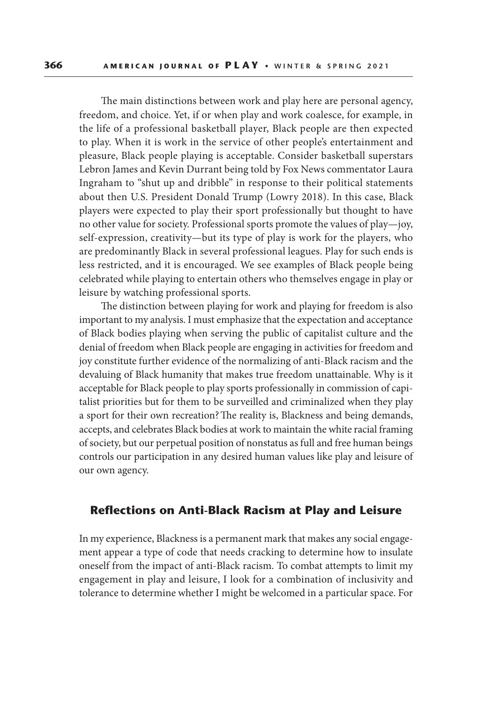The main distinctions between work and play here are personal agency, freedom, and choice. Yet, if or when play and work coalesce, for example, in the life of a professional basketball player, Black people are then expected to play. When it is work in the service of other people's entertainment and pleasure, Black people playing is acceptable. Consider basketball superstars Lebron James and Kevin Durrant being told by Fox News commentator Laura Ingraham to "shut up and dribble" in response to their political statements about then U.S. President Donald Trump (Lowry 2018). In this case, Black players were expected to play their sport professionally but thought to have no other value for society. Professional sports promote the values of play—joy, self-expression, creativity—but its type of play is work for the players, who are predominantly Black in several professional leagues. Play for such ends is less restricted, and it is encouraged. We see examples of Black people being celebrated while playing to entertain others who themselves engage in play or leisure by watching professional sports.

The distinction between playing for work and playing for freedom is also important to my analysis. I must emphasize that the expectation and acceptance of Black bodies playing when serving the public of capitalist culture and the denial of freedom when Black people are engaging in activities for freedom and joy constitute further evidence of the normalizing of anti-Black racism and the devaluing of Black humanity that makes true freedom unattainable. Why is it acceptable for Black people to play sports professionally in commission of capitalist priorities but for them to be surveilled and criminalized when they play a sport for their own recreation? The reality is, Blackness and being demands, accepts, and celebrates Black bodies at work to maintain the white racial framing of society, but our perpetual position of nonstatus as full and free human beings controls our participation in any desired human values like play and leisure of our own agency.

#### **Reflections on Anti-Black Racism at Play and Leisure**

In my experience, Blackness is a permanent mark that makes any social engagement appear a type of code that needs cracking to determine how to insulate oneself from the impact of anti-Black racism. To combat attempts to limit my engagement in play and leisure, I look for a combination of inclusivity and tolerance to determine whether I might be welcomed in a particular space. For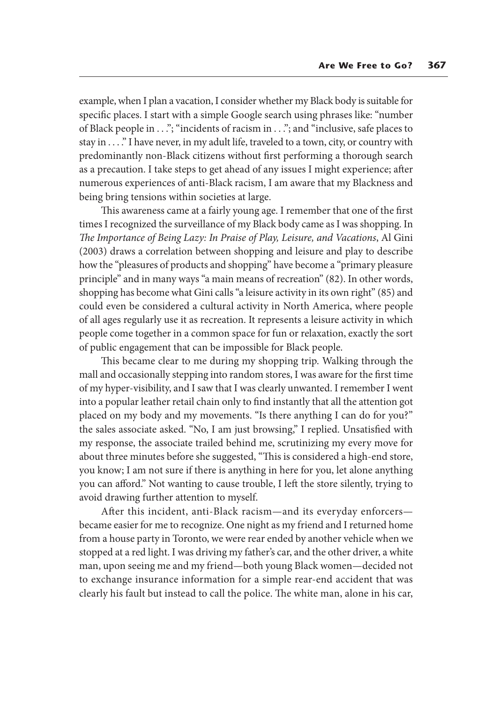example, when I plan a vacation, I consider whether my Black body is suitable for specific places. I start with a simple Google search using phrases like: "number of Black people in . . ."; "incidents of racism in . . ."; and "inclusive, safe places to stay in . . . ." I have never, in my adult life, traveled to a town, city, or country with predominantly non-Black citizens without first performing a thorough search as a precaution. I take steps to get ahead of any issues I might experience; after numerous experiences of anti-Black racism, I am aware that my Blackness and being bring tensions within societies at large.

This awareness came at a fairly young age. I remember that one of the first times I recognized the surveillance of my Black body came as I was shopping. In *The Importance of Being Lazy: In Praise of Play, Leisure, and Vacations*, Al Gini (2003) draws a correlation between shopping and leisure and play to describe how the "pleasures of products and shopping" have become a "primary pleasure principle" and in many ways "a main means of recreation" (82). In other words, shopping has become what Gini calls "a leisure activity in its own right" (85) and could even be considered a cultural activity in North America, where people of all ages regularly use it as recreation. It represents a leisure activity in which people come together in a common space for fun or relaxation, exactly the sort of public engagement that can be impossible for Black people.

This became clear to me during my shopping trip. Walking through the mall and occasionally stepping into random stores, I was aware for the first time of my hyper-visibility, and I saw that I was clearly unwanted. I remember I went into a popular leather retail chain only to find instantly that all the attention got placed on my body and my movements. "Is there anything I can do for you?" the sales associate asked. "No, I am just browsing," I replied. Unsatisfied with my response, the associate trailed behind me, scrutinizing my every move for about three minutes before she suggested, "This is considered a high-end store, you know; I am not sure if there is anything in here for you, let alone anything you can afford." Not wanting to cause trouble, I left the store silently, trying to avoid drawing further attention to myself.

After this incident, anti-Black racism—and its everyday enforcers became easier for me to recognize. One night as my friend and I returned home from a house party in Toronto, we were rear ended by another vehicle when we stopped at a red light. I was driving my father's car, and the other driver, a white man, upon seeing me and my friend—both young Black women—decided not to exchange insurance information for a simple rear-end accident that was clearly his fault but instead to call the police. The white man, alone in his car,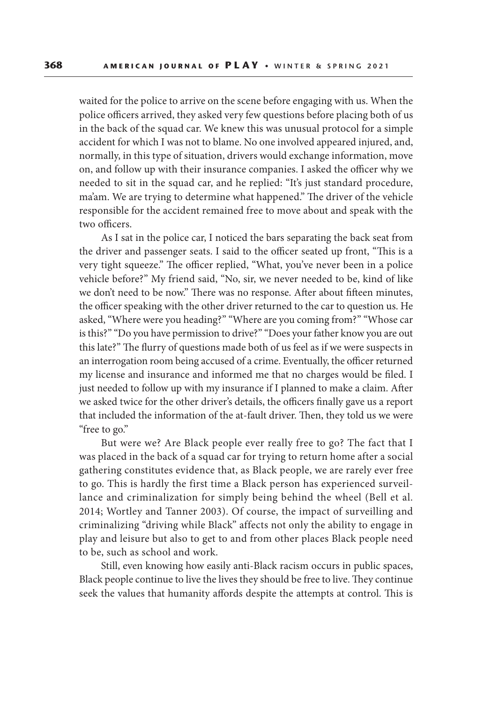waited for the police to arrive on the scene before engaging with us. When the police officers arrived, they asked very few questions before placing both of us in the back of the squad car. We knew this was unusual protocol for a simple accident for which I was not to blame. No one involved appeared injured, and, normally, in this type of situation, drivers would exchange information, move on, and follow up with their insurance companies. I asked the officer why we needed to sit in the squad car, and he replied: "It's just standard procedure, ma'am. We are trying to determine what happened." The driver of the vehicle responsible for the accident remained free to move about and speak with the two officers.

As I sat in the police car, I noticed the bars separating the back seat from the driver and passenger seats. I said to the officer seated up front, "This is a very tight squeeze." The officer replied, "What, you've never been in a police vehicle before?" My friend said, "No, sir, we never needed to be, kind of like we don't need to be now." There was no response. After about fifteen minutes, the officer speaking with the other driver returned to the car to question us. He asked, "Where were you heading?" "Where are you coming from?" "Whose car is this?" "Do you have permission to drive?" "Does your father know you are out this late?" The flurry of questions made both of us feel as if we were suspects in an interrogation room being accused of a crime. Eventually, the officer returned my license and insurance and informed me that no charges would be filed. I just needed to follow up with my insurance if I planned to make a claim. After we asked twice for the other driver's details, the officers finally gave us a report that included the information of the at-fault driver. Then, they told us we were "free to go."

But were we? Are Black people ever really free to go? The fact that I was placed in the back of a squad car for trying to return home after a social gathering constitutes evidence that, as Black people, we are rarely ever free to go. This is hardly the first time a Black person has experienced surveillance and criminalization for simply being behind the wheel (Bell et al. 2014; Wortley and Tanner 2003). Of course, the impact of surveilling and criminalizing "driving while Black" affects not only the ability to engage in play and leisure but also to get to and from other places Black people need to be, such as school and work.

Still, even knowing how easily anti-Black racism occurs in public spaces, Black people continue to live the lives they should be free to live. They continue seek the values that humanity affords despite the attempts at control. This is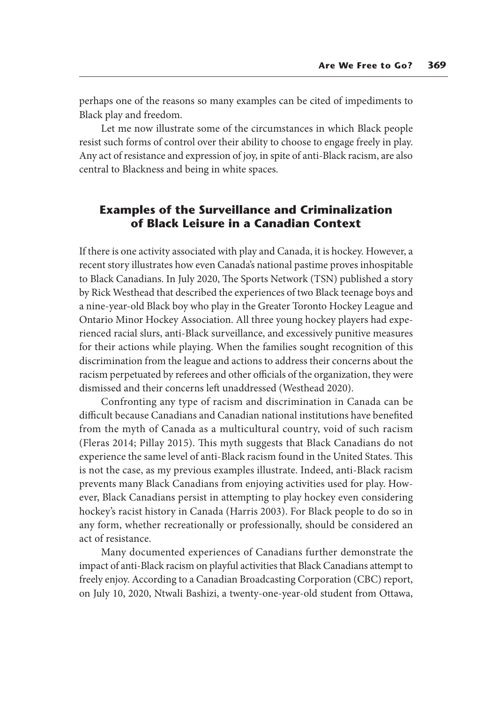perhaps one of the reasons so many examples can be cited of impediments to Black play and freedom.

Let me now illustrate some of the circumstances in which Black people resist such forms of control over their ability to choose to engage freely in play. Any act of resistance and expression of joy, in spite of anti-Black racism, are also central to Blackness and being in white spaces.

# **Examples of the Surveillance and Criminalization of Black Leisure in a Canadian Context**

If there is one activity associated with play and Canada, it is hockey. However, a recent story illustrates how even Canada's national pastime proves inhospitable to Black Canadians. In July 2020, The Sports Network (TSN) published a story by Rick Westhead that described the experiences of two Black teenage boys and a nine-year-old Black boy who play in the Greater Toronto Hockey League and Ontario Minor Hockey Association. All three young hockey players had experienced racial slurs, anti-Black surveillance, and excessively punitive measures for their actions while playing. When the families sought recognition of this discrimination from the league and actions to address their concerns about the racism perpetuated by referees and other officials of the organization, they were dismissed and their concerns left unaddressed (Westhead 2020).

Confronting any type of racism and discrimination in Canada can be difficult because Canadians and Canadian national institutions have benefited from the myth of Canada as a multicultural country, void of such racism (Fleras 2014; Pillay 2015). This myth suggests that Black Canadians do not experience the same level of anti-Black racism found in the United States. This is not the case, as my previous examples illustrate. Indeed, anti-Black racism prevents many Black Canadians from enjoying activities used for play. However, Black Canadians persist in attempting to play hockey even considering hockey's racist history in Canada (Harris 2003). For Black people to do so in any form, whether recreationally or professionally, should be considered an act of resistance.

Many documented experiences of Canadians further demonstrate the impact of anti-Black racism on playful activities that Black Canadians attempt to freely enjoy. According to a Canadian Broadcasting Corporation (CBC) report, on July 10, 2020, Ntwali Bashizi, a twenty-one-year-old student from Ottawa,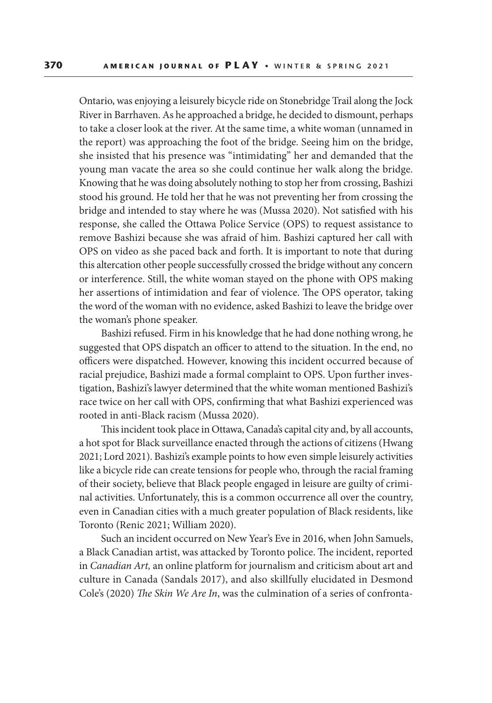Ontario, was enjoying a leisurely bicycle ride on Stonebridge Trail along the Jock River in Barrhaven. As he approached a bridge, he decided to dismount, perhaps to take a closer look at the river. At the same time, a white woman (unnamed in the report) was approaching the foot of the bridge. Seeing him on the bridge, she insisted that his presence was "intimidating" her and demanded that the young man vacate the area so she could continue her walk along the bridge. Knowing that he was doing absolutely nothing to stop her from crossing, Bashizi stood his ground. He told her that he was not preventing her from crossing the bridge and intended to stay where he was (Mussa 2020). Not satisfied with his response, she called the Ottawa Police Service (OPS) to request assistance to remove Bashizi because she was afraid of him. Bashizi captured her call with OPS on video as she paced back and forth. It is important to note that during this altercation other people successfully crossed the bridge without any concern or interference. Still, the white woman stayed on the phone with OPS making her assertions of intimidation and fear of violence. The OPS operator, taking the word of the woman with no evidence, asked Bashizi to leave the bridge over the woman's phone speaker.

Bashizi refused. Firm in his knowledge that he had done nothing wrong, he suggested that OPS dispatch an officer to attend to the situation. In the end, no officers were dispatched. However, knowing this incident occurred because of racial prejudice, Bashizi made a formal complaint to OPS. Upon further investigation, Bashizi's lawyer determined that the white woman mentioned Bashizi's race twice on her call with OPS, confirming that what Bashizi experienced was rooted in anti-Black racism (Mussa 2020).

This incident took place in Ottawa, Canada's capital city and, by all accounts, a hot spot for Black surveillance enacted through the actions of citizens (Hwang 2021; Lord 2021). Bashizi's example points to how even simple leisurely activities like a bicycle ride can create tensions for people who, through the racial framing of their society, believe that Black people engaged in leisure are guilty of criminal activities. Unfortunately, this is a common occurrence all over the country, even in Canadian cities with a much greater population of Black residents, like Toronto (Renic 2021; William 2020).

Such an incident occurred on New Year's Eve in 2016, when John Samuels, a Black Canadian artist, was attacked by Toronto police. The incident, reported in *Canadian Art,* an online platform for journalism and criticism about art and culture in Canada (Sandals 2017), and also skillfully elucidated in Desmond Cole's (2020) *The Skin We Are In*, was the culmination of a series of confronta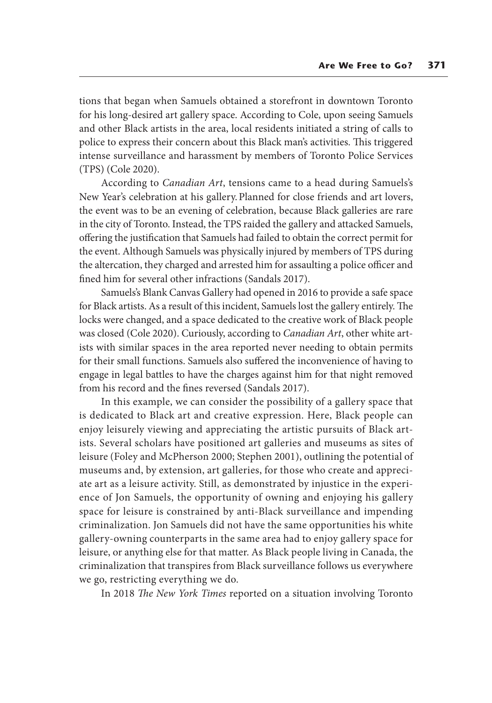tions that began when Samuels obtained a storefront in downtown Toronto for his long-desired art gallery space. According to Cole, upon seeing Samuels and other Black artists in the area, local residents initiated a string of calls to police to express their concern about this Black man's activities. This triggered intense surveillance and harassment by members of Toronto Police Services (TPS) (Cole 2020).

According to *Canadian Art*, tensions came to a head during Samuels's New Year's celebration at his gallery. Planned for close friends and art lovers, the event was to be an evening of celebration, because Black galleries are rare in the city of Toronto. Instead, the TPS raided the gallery and attacked Samuels, offering the justification that Samuels had failed to obtain the correct permit for the event. Although Samuels was physically injured by members of TPS during the altercation, they charged and arrested him for assaulting a police officer and fined him for several other infractions (Sandals 2017).

Samuels's Blank Canvas Gallery had opened in 2016 to provide a safe space for Black artists. As a result of this incident, Samuels lost the gallery entirely. The locks were changed, and a space dedicated to the creative work of Black people was closed (Cole 2020). Curiously, according to *Canadian Art*, other white artists with similar spaces in the area reported never needing to obtain permits for their small functions. Samuels also suffered the inconvenience of having to engage in legal battles to have the charges against him for that night removed from his record and the fines reversed (Sandals 2017).

In this example, we can consider the possibility of a gallery space that is dedicated to Black art and creative expression. Here, Black people can enjoy leisurely viewing and appreciating the artistic pursuits of Black artists. Several scholars have positioned art galleries and museums as sites of leisure (Foley and McPherson 2000; Stephen 2001), outlining the potential of museums and, by extension, art galleries, for those who create and appreciate art as a leisure activity. Still, as demonstrated by injustice in the experience of Jon Samuels, the opportunity of owning and enjoying his gallery space for leisure is constrained by anti-Black surveillance and impending criminalization. Jon Samuels did not have the same opportunities his white gallery-owning counterparts in the same area had to enjoy gallery space for leisure, or anything else for that matter. As Black people living in Canada, the criminalization that transpires from Black surveillance follows us everywhere we go, restricting everything we do.

In 2018 *The New York Times* reported on a situation involving Toronto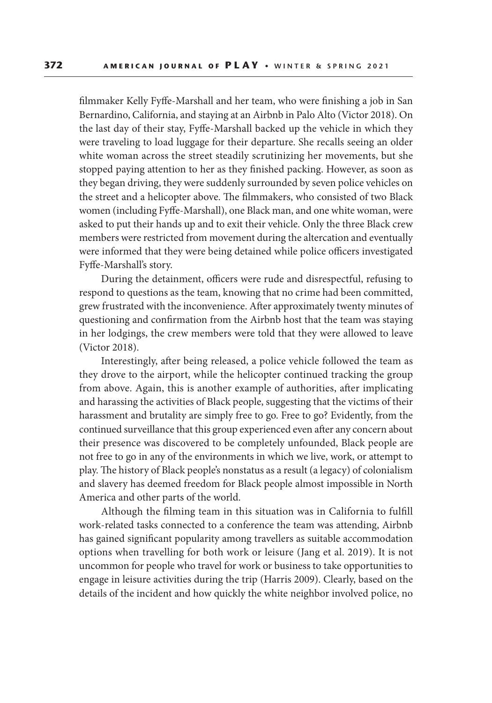filmmaker Kelly Fyffe-Marshall and her team, who were finishing a job in San Bernardino, California, and staying at an Airbnb in Palo Alto (Victor 2018). On the last day of their stay, Fyffe-Marshall backed up the vehicle in which they were traveling to load luggage for their departure. She recalls seeing an older white woman across the street steadily scrutinizing her movements, but she stopped paying attention to her as they finished packing. However, as soon as they began driving, they were suddenly surrounded by seven police vehicles on the street and a helicopter above. The filmmakers, who consisted of two Black women (including Fyffe-Marshall), one Black man, and one white woman, were asked to put their hands up and to exit their vehicle. Only the three Black crew members were restricted from movement during the altercation and eventually were informed that they were being detained while police officers investigated Fyffe-Marshall's story.

During the detainment, officers were rude and disrespectful, refusing to respond to questions as the team, knowing that no crime had been committed, grew frustrated with the inconvenience. After approximately twenty minutes of questioning and confirmation from the Airbnb host that the team was staying in her lodgings, the crew members were told that they were allowed to leave (Victor 2018).

Interestingly, after being released, a police vehicle followed the team as they drove to the airport, while the helicopter continued tracking the group from above. Again, this is another example of authorities, after implicating and harassing the activities of Black people, suggesting that the victims of their harassment and brutality are simply free to go. Free to go? Evidently, from the continued surveillance that this group experienced even after any concern about their presence was discovered to be completely unfounded, Black people are not free to go in any of the environments in which we live, work, or attempt to play. The history of Black people's nonstatus as a result (a legacy) of colonialism and slavery has deemed freedom for Black people almost impossible in North America and other parts of the world.

Although the filming team in this situation was in California to fulfill work-related tasks connected to a conference the team was attending, Airbnb has gained significant popularity among travellers as suitable accommodation options when travelling for both work or leisure (Jang et al. 2019). It is not uncommon for people who travel for work or business to take opportunities to engage in leisure activities during the trip (Harris 2009). Clearly, based on the details of the incident and how quickly the white neighbor involved police, no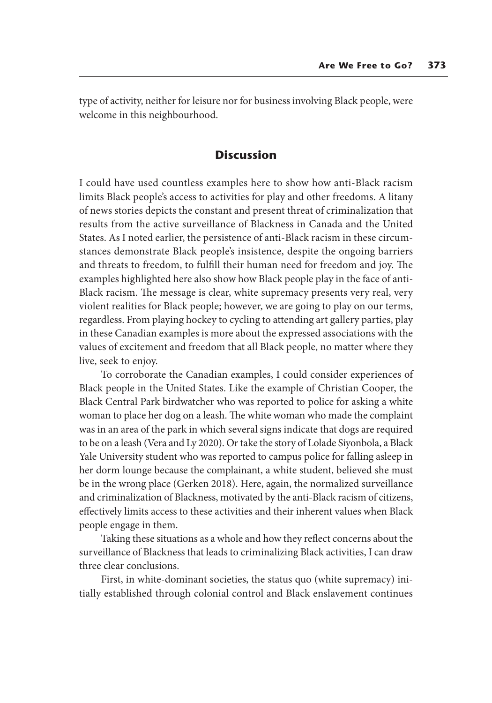type of activity, neither for leisure nor for business involving Black people, were welcome in this neighbourhood.

# **Discussion**

I could have used countless examples here to show how anti-Black racism limits Black people's access to activities for play and other freedoms. A litany of news stories depicts the constant and present threat of criminalization that results from the active surveillance of Blackness in Canada and the United States. As I noted earlier, the persistence of anti-Black racism in these circumstances demonstrate Black people's insistence, despite the ongoing barriers and threats to freedom, to fulfill their human need for freedom and joy. The examples highlighted here also show how Black people play in the face of anti-Black racism. The message is clear, white supremacy presents very real, very violent realities for Black people; however, we are going to play on our terms, regardless. From playing hockey to cycling to attending art gallery parties, play in these Canadian examples is more about the expressed associations with the values of excitement and freedom that all Black people, no matter where they live, seek to enjoy.

To corroborate the Canadian examples, I could consider experiences of Black people in the United States. Like the example of Christian Cooper, the Black Central Park birdwatcher who was reported to police for asking a white woman to place her dog on a leash. The white woman who made the complaint was in an area of the park in which several signs indicate that dogs are required to be on a leash (Vera and Ly 2020). Or take the story of Lolade Siyonbola, a Black Yale University student who was reported to campus police for falling asleep in her dorm lounge because the complainant, a white student, believed she must be in the wrong place (Gerken 2018). Here, again, the normalized surveillance and criminalization of Blackness, motivated by the anti-Black racism of citizens, effectively limits access to these activities and their inherent values when Black people engage in them.

Taking these situations as a whole and how they reflect concerns about the surveillance of Blackness that leads to criminalizing Black activities, I can draw three clear conclusions.

First, in white-dominant societies, the status quo (white supremacy) initially established through colonial control and Black enslavement continues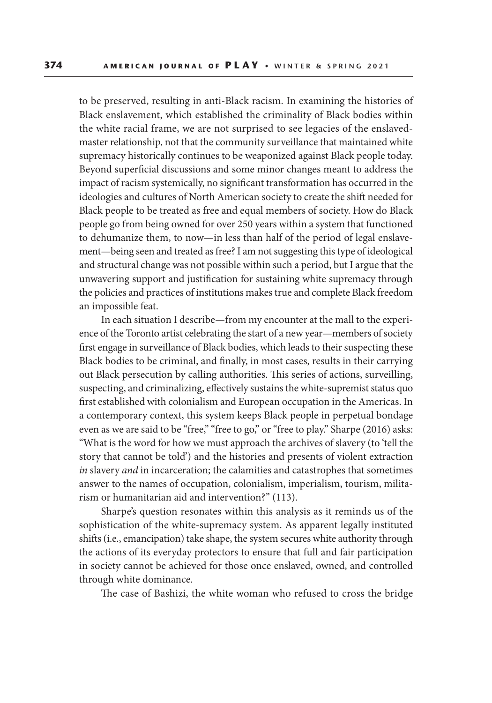to be preserved, resulting in anti-Black racism. In examining the histories of Black enslavement, which established the criminality of Black bodies within the white racial frame, we are not surprised to see legacies of the enslavedmaster relationship, not that the community surveillance that maintained white supremacy historically continues to be weaponized against Black people today. Beyond superficial discussions and some minor changes meant to address the impact of racism systemically, no significant transformation has occurred in the ideologies and cultures of North American society to create the shift needed for Black people to be treated as free and equal members of society. How do Black people go from being owned for over 250 years within a system that functioned to dehumanize them, to now—in less than half of the period of legal enslavement—being seen and treated as free? I am not suggesting this type of ideological and structural change was not possible within such a period, but I argue that the unwavering support and justification for sustaining white supremacy through the policies and practices of institutions makes true and complete Black freedom an impossible feat.

In each situation I describe—from my encounter at the mall to the experience of the Toronto artist celebrating the start of a new year—members of society first engage in surveillance of Black bodies, which leads to their suspecting these Black bodies to be criminal, and finally, in most cases, results in their carrying out Black persecution by calling authorities. This series of actions, surveilling, suspecting, and criminalizing, effectively sustains the white-supremist status quo first established with colonialism and European occupation in the Americas. In a contemporary context, this system keeps Black people in perpetual bondage even as we are said to be "free," "free to go," or "free to play." Sharpe (2016) asks: "What is the word for how we must approach the archives of slavery (to 'tell the story that cannot be told') and the histories and presents of violent extraction *in* slavery *and* in incarceration; the calamities and catastrophes that sometimes answer to the names of occupation, colonialism, imperialism, tourism, militarism or humanitarian aid and intervention?" (113).

Sharpe's question resonates within this analysis as it reminds us of the sophistication of the white-supremacy system. As apparent legally instituted shifts (i.e., emancipation) take shape, the system secures white authority through the actions of its everyday protectors to ensure that full and fair participation in society cannot be achieved for those once enslaved, owned, and controlled through white dominance.

The case of Bashizi, the white woman who refused to cross the bridge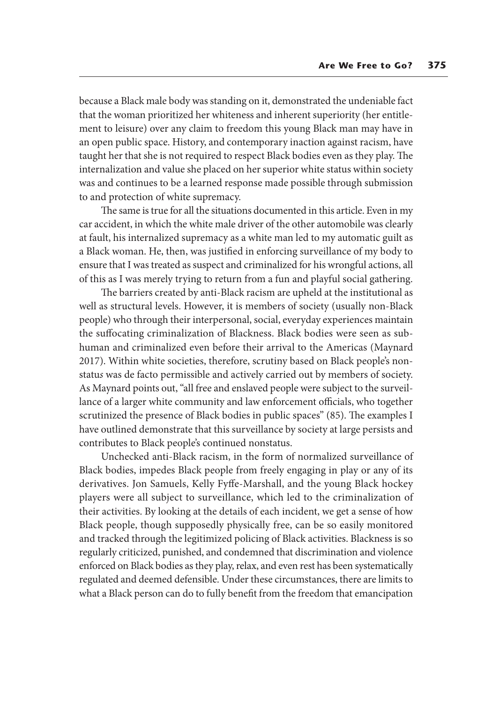because a Black male body was standing on it, demonstrated the undeniable fact that the woman prioritized her whiteness and inherent superiority (her entitlement to leisure) over any claim to freedom this young Black man may have in an open public space. History, and contemporary inaction against racism, have taught her that she is not required to respect Black bodies even as they play. The internalization and value she placed on her superior white status within society was and continues to be a learned response made possible through submission to and protection of white supremacy.

The same is true for all the situations documented in this article. Even in my car accident, in which the white male driver of the other automobile was clearly at fault, his internalized supremacy as a white man led to my automatic guilt as a Black woman. He, then, was justified in enforcing surveillance of my body to ensure that I was treated as suspect and criminalized for his wrongful actions, all of this as I was merely trying to return from a fun and playful social gathering.

The barriers created by anti-Black racism are upheld at the institutional as well as structural levels. However, it is members of society (usually non-Black people) who through their interpersonal, social, everyday experiences maintain the suffocating criminalization of Blackness. Black bodies were seen as subhuman and criminalized even before their arrival to the Americas (Maynard 2017). Within white societies, therefore, scrutiny based on Black people's nonstatu*s* was de facto permissible and actively carried out by members of society. As Maynard points out, "all free and enslaved people were subject to the surveillance of a larger white community and law enforcement officials, who together scrutinized the presence of Black bodies in public spaces" (85). The examples I have outlined demonstrate that this surveillance by society at large persists and contributes to Black people's continued nonstatus.

Unchecked anti-Black racism, in the form of normalized surveillance of Black bodies, impedes Black people from freely engaging in play or any of its derivatives. Jon Samuels, Kelly Fyffe-Marshall, and the young Black hockey players were all subject to surveillance, which led to the criminalization of their activities. By looking at the details of each incident, we get a sense of how Black people, though supposedly physically free, can be so easily monitored and tracked through the legitimized policing of Black activities. Blackness is so regularly criticized, punished, and condemned that discrimination and violence enforced on Black bodies as they play, relax, and even rest has been systematically regulated and deemed defensible. Under these circumstances, there are limits to what a Black person can do to fully benefit from the freedom that emancipation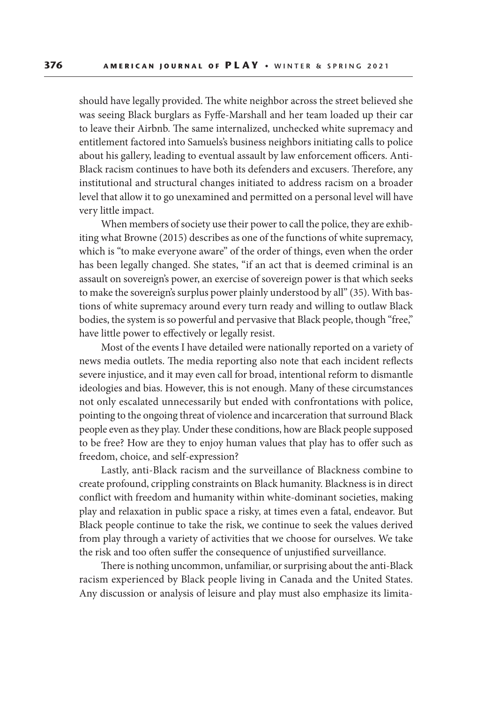should have legally provided. The white neighbor across the street believed she was seeing Black burglars as Fyffe-Marshall and her team loaded up their car to leave their Airbnb. The same internalized, unchecked white supremacy and entitlement factored into Samuels's business neighbors initiating calls to police about his gallery, leading to eventual assault by law enforcement officers. Anti-Black racism continues to have both its defenders and excusers. Therefore, any institutional and structural changes initiated to address racism on a broader level that allow it to go unexamined and permitted on a personal level will have very little impact.

When members of society use their power to call the police, they are exhibiting what Browne (2015) describes as one of the functions of white supremacy, which is "to make everyone aware" of the order of things, even when the order has been legally changed. She states, "if an act that is deemed criminal is an assault on sovereign's power, an exercise of sovereign power is that which seeks to make the sovereign's surplus power plainly understood by all" (35). With bastions of white supremacy around every turn ready and willing to outlaw Black bodies, the system is so powerful and pervasive that Black people, though "free," have little power to effectively or legally resist.

Most of the events I have detailed were nationally reported on a variety of news media outlets. The media reporting also note that each incident reflects severe injustice, and it may even call for broad, intentional reform to dismantle ideologies and bias. However, this is not enough. Many of these circumstances not only escalated unnecessarily but ended with confrontations with police, pointing to the ongoing threat of violence and incarceration that surround Black people even as they play. Under these conditions, how are Black people supposed to be free? How are they to enjoy human values that play has to offer such as freedom, choice, and self-expression?

Lastly, anti-Black racism and the surveillance of Blackness combine to create profound, crippling constraints on Black humanity. Blackness is in direct conflict with freedom and humanity within white-dominant societies, making play and relaxation in public space a risky, at times even a fatal, endeavor. But Black people continue to take the risk, we continue to seek the values derived from play through a variety of activities that we choose for ourselves. We take the risk and too often suffer the consequence of unjustified surveillance.

There is nothing uncommon, unfamiliar, or surprising about the anti-Black racism experienced by Black people living in Canada and the United States. Any discussion or analysis of leisure and play must also emphasize its limita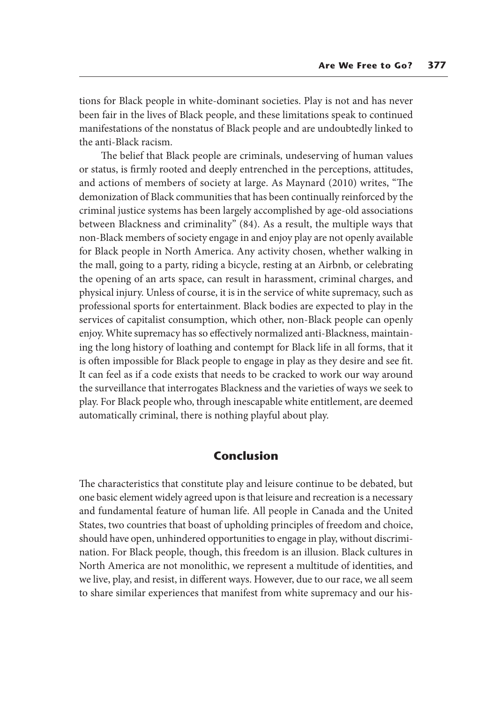tions for Black people in white-dominant societies. Play is not and has never been fair in the lives of Black people, and these limitations speak to continued manifestations of the nonstatus of Black people and are undoubtedly linked to the anti-Black racism.

The belief that Black people are criminals, undeserving of human values or status, is firmly rooted and deeply entrenched in the perceptions, attitudes, and actions of members of society at large. As Maynard (2010) writes, "The demonization of Black communities that has been continually reinforced by the criminal justice systems has been largely accomplished by age-old associations between Blackness and criminality" (84). As a result, the multiple ways that non-Black members of society engage in and enjoy play are not openly available for Black people in North America. Any activity chosen, whether walking in the mall, going to a party, riding a bicycle, resting at an Airbnb, or celebrating the opening of an arts space, can result in harassment, criminal charges, and physical injury. Unless of course, it is in the service of white supremacy, such as professional sports for entertainment. Black bodies are expected to play in the services of capitalist consumption, which other, non-Black people can openly enjoy. White supremacy has so effectively normalized anti-Blackness, maintaining the long history of loathing and contempt for Black life in all forms, that it is often impossible for Black people to engage in play as they desire and see fit. It can feel as if a code exists that needs to be cracked to work our way around the surveillance that interrogates Blackness and the varieties of ways we seek to play. For Black people who, through inescapable white entitlement, are deemed automatically criminal, there is nothing playful about play.

# **Conclusion**

The characteristics that constitute play and leisure continue to be debated, but one basic element widely agreed upon is that leisure and recreation is a necessary and fundamental feature of human life. All people in Canada and the United States, two countries that boast of upholding principles of freedom and choice, should have open, unhindered opportunities to engage in play, without discrimination. For Black people, though, this freedom is an illusion. Black cultures in North America are not monolithic, we represent a multitude of identities, and we live, play, and resist, in different ways. However, due to our race, we all seem to share similar experiences that manifest from white supremacy and our his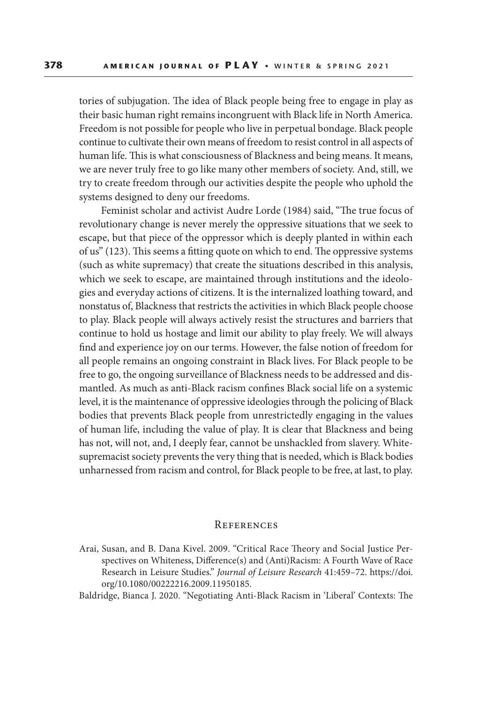tories of subjugation. The idea of Black people being free to engage in play as their basic human right remains incongruent with Black life in North America. Freedom is not possible for people who live in perpetual bondage. Black people continue to cultivate their own means of freedom to resist control in all aspects of human life. This is what consciousness of Blackness and being means. It means, we are never truly free to go like many other members of society. And, still, we try to create freedom through our activities despite the people who uphold the systems designed to deny our freedoms.

Feminist scholar and activist Audre Lorde (1984) said, "The true focus of revolutionary change is never merely the oppressive situations that we seek to escape, but that piece of the oppressor which is deeply planted in within each of us" (123). This seems a fitting quote on which to end. The oppressive systems (such as white supremacy) that create the situations described in this analysis, which we seek to escape, are maintained through institutions and the ideologies and everyday actions of citizens. It is the internalized loathing toward, and nonstatus of, Blackness that restricts the activities in which Black people choose to play. Black people will always actively resist the structures and barriers that continue to hold us hostage and limit our ability to play freely. We will always find and experience joy on our terms. However, the false notion of freedom for all people remains an ongoing constraint in Black lives. For Black people to be free to go, the ongoing surveillance of Blackness needs to be addressed and dismantled. As much as anti-Black racism confines Black social life on a systemic level, it is the maintenance of oppressive ideologies through the policing of Black bodies that prevents Black people from unrestrictedly engaging in the values of human life, including the value of play. It is clear that Blackness and being has not, will not, and, I deeply fear, cannot be unshackled from slavery. Whitesupremacist society prevents the very thing that is needed, which is Black bodies unharnessed from racism and control, for Black people to be free, at last, to play.

#### **REFERENCES**

Arai, Susan, and B. Dana Kivel. 2009. "Critical Race Theory and Social Justice Perspectives on Whiteness, Difference(s) and (Anti)Racism: A Fourth Wave of Race Research in Leisure Studies." *Journal of Leisure Research* 41:459–72. https://doi. org/10.1080/00222216.2009.11950185.

Baldridge, Bianca J. 2020. "Negotiating Anti-Black Racism in 'Liberal' Contexts: The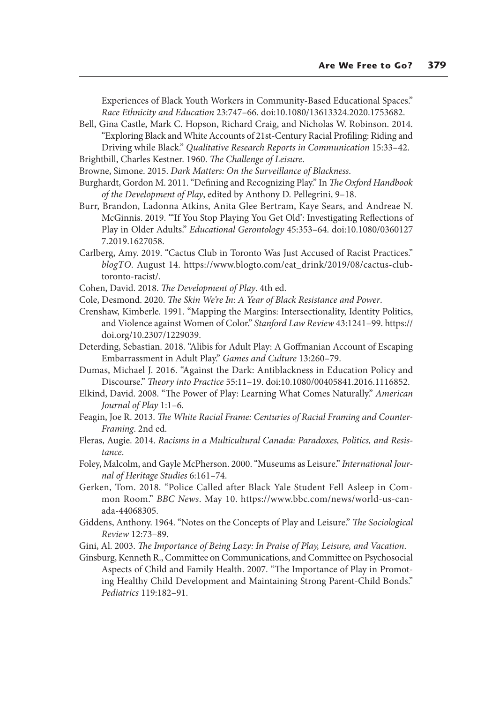Experiences of Black Youth Workers in Community-Based Educational Spaces." *Race Ethnicity and Education* 23:747–66. doi:10.1080/13613324.2020.1753682.

- Bell, Gina Castle, Mark C. Hopson, Richard Craig, and Nicholas W. Robinson. 2014. "Exploring Black and White Accounts of 21st-Century Racial Profiling: Riding and Driving while Black." *Qualitative Research Reports in Communication* 15:33–42.
- Brightbill, Charles Kestner. 1960. *The Challenge of Leisure*.
- Browne, Simone. 2015. *Dark Matters: On the Surveillance of Blackness*.
- Burghardt, Gordon M. 2011. "Defining and Recognizing Play." In *The Oxford Handbook of the Development of Play*, edited by Anthony D. Pellegrini, 9–18.
- Burr, Brandon, Ladonna Atkins, Anita Glee Bertram, Kaye Sears, and Andreae N. McGinnis. 2019. "'If You Stop Playing You Get Old': Investigating Reflections of Play in Older Adults." *Educational Gerontology* 45:353–64. doi:10.1080/0360127 7.2019.1627058.
- Carlberg, Amy. 2019. "Cactus Club in Toronto Was Just Accused of Racist Practices." *blogTO*. August 14. https://www.blogto.com/eat\_drink/2019/08/cactus-clubtoronto-racist/.
- Cohen, David. 2018. *The Development of Play*. 4th ed.
- Cole, Desmond. 2020. *The Skin We're In: A Year of Black Resistance and Power*.
- Crenshaw, Kimberle. 1991. "Mapping the Margins: Intersectionality, Identity Politics, and Violence against Women of Color." *Stanford Law Review* 43:1241–99. https:// doi.org/10.2307/1229039.
- Deterding, Sebastian. 2018. "Alibis for Adult Play: A Goffmanian Account of Escaping Embarrassment in Adult Play." *Games and Culture* 13:260–79.
- Dumas, Michael J. 2016. "Against the Dark: Antiblackness in Education Policy and Discourse." *Theory into Practice* 55:11–19. doi:10.1080/00405841.2016.1116852.
- Elkind, David. 2008. "The Power of Play: Learning What Comes Naturally." *American Journal of Play* 1:1–6.
- Feagin, Joe R. 2013. *The White Racial Frame: Centuries of Racial Framing and Counter-Framing*. 2nd ed.
- Fleras, Augie. 2014. *Racisms in a Multicultural Canada: Paradoxes, Politics, and Resistance*.
- Foley, Malcolm, and Gayle McPherson. 2000. "Museums as Leisure." *International Journal of Heritage Studies* 6:161–74.
- Gerken, Tom. 2018. "Police Called after Black Yale Student Fell Asleep in Common Room." *BBC News*. May 10. https://www.bbc.com/news/world-us-canada-44068305.
- Giddens, Anthony. 1964. "Notes on the Concepts of Play and Leisure." *The Sociological Review* 12:73–89.
- Gini, Al. 2003. *The Importance of Being Lazy: In Praise of Play, Leisure, and Vacation*.

Ginsburg, Kenneth R., Committee on Communications, and Committee on Psychosocial Aspects of Child and Family Health. 2007. "The Importance of Play in Promoting Healthy Child Development and Maintaining Strong Parent-Child Bonds." *Pediatrics* 119:182–91.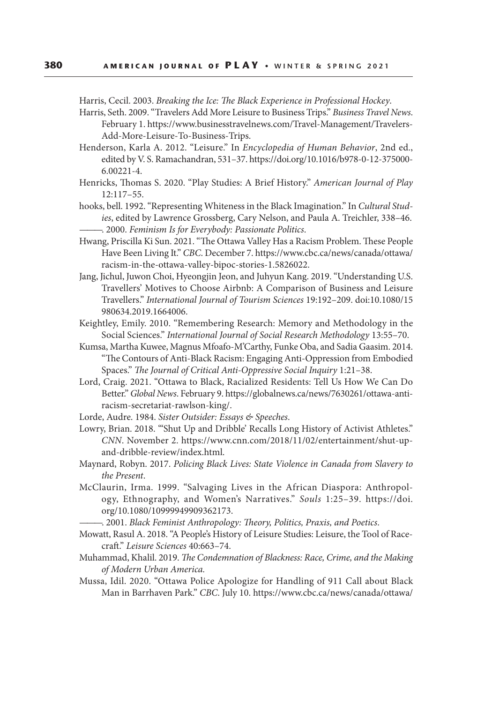Harris, Cecil. 2003. *Breaking the Ice: The Black Experience in Professional Hockey*.

- Harris, Seth. 2009. "Travelers Add More Leisure to Business Trips." *Business Travel News*. February 1. https://www.businesstravelnews.com/Travel-Management/Travelers-Add-More-Leisure-To-Business-Trips.
- Henderson, Karla A. 2012. "Leisure." In *Encyclopedia of Human Behavior*, 2nd ed., edited by V. S. Ramachandran, 531–37. https://doi.org/10.1016/b978-0-12-375000- 6.00221-4.
- Henricks, Thomas S. 2020. "Play Studies: A Brief History." *American Journal of Play* 12:117–55.
- hooks, bell. 1992. "Representing Whiteness in the Black Imagination." In *Cultural Studies*, edited by Lawrence Grossberg, Cary Nelson, and Paula A. Treichler, 338–46. ———. 2000. *Feminism Is for Everybody: Passionate Politics*.
- Hwang, Priscilla Ki Sun. 2021. "The Ottawa Valley Has a Racism Problem. These People Have Been Living It." *CBC*. December 7. https://www.cbc.ca/news/canada/ottawa/ racism-in-the-ottawa-valley-bipoc-stories-1.5826022.
- Jang, Jichul, Juwon Choi, Hyeongjin Jeon, and Juhyun Kang. 2019. "Understanding U.S. Travellers' Motives to Choose Airbnb: A Comparison of Business and Leisure Travellers." *International Journal of Tourism Sciences* 19:192–209. doi:10.1080/15 980634.2019.1664006.
- Keightley, Emily. 2010. "Remembering Research: Memory and Methodology in the Social Sciences." *International Journal of Social Research Methodology* 13:55–70.
- Kumsa, Martha Kuwee, Magnus Mfoafo-M'Carthy, Funke Oba, and Sadia Gaasim. 2014. "The Contours of Anti-Black Racism: Engaging Anti-Oppression from Embodied Spaces." *The Journal of Critical Anti-Oppressive Social Inquiry* 1:21–38.
- Lord, Craig. 2021. "Ottawa to Black, Racialized Residents: Tell Us How We Can Do Better." *Global News*. February 9. https://globalnews.ca/news/7630261/ottawa-antiracism-secretariat-rawlson-king/.
- Lorde, Audre. 1984. *Sister Outsider: Essays & Speeches*.
- Lowry, Brian. 2018. "'Shut Up and Dribble' Recalls Long History of Activist Athletes." *CNN*. November 2. https://www.cnn.com/2018/11/02/entertainment/shut-upand-dribble-review/index.html.
- Maynard, Robyn. 2017. *Policing Black Lives: State Violence in Canada from Slavery to the Present*.
- McClaurin, Irma. 1999. "Salvaging Lives in the African Diaspora: Anthropology, Ethnography, and Women's Narratives." *Souls* 1:25–39. https://doi. org/10.1080/10999949909362173.

———. 2001. *Black Feminist Anthropology: Theory, Politics, Praxis, and Poetics*.

- Mowatt, Rasul A. 2018. "A People's History of Leisure Studies: Leisure, the Tool of Racecraft." *Leisure Sciences* 40:663–74.
- Muhammad, Khalil. 2019. *The Condemnation of Blackness: Race, Crime, and the Making of Modern Urban America.*
- Mussa, Idil. 2020. "Ottawa Police Apologize for Handling of 911 Call about Black Man in Barrhaven Park." *CBC*. July 10. https://www.cbc.ca/news/canada/ottawa/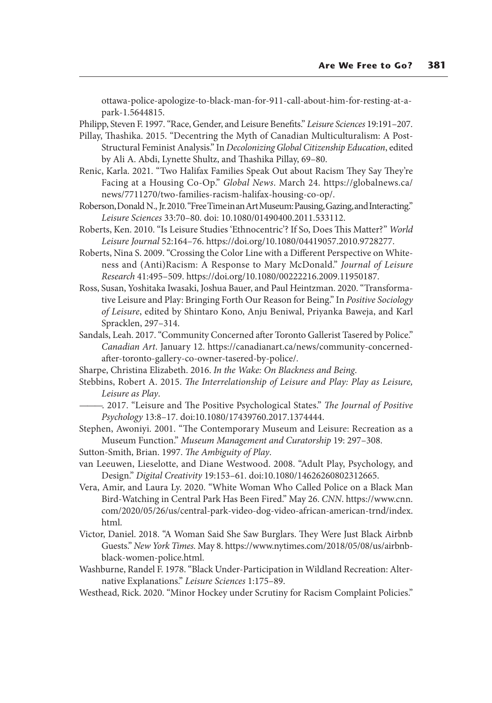ottawa-police-apologize-to-black-man-for-911-call-about-him-for-resting-at-apark-1.5644815.

Philipp, Steven F. 1997. "Race, Gender, and Leisure Benefits." *Leisure Sciences* 19:191–207.

- Pillay, Thashika. 2015. "Decentring the Myth of Canadian Multiculturalism: A Post-Structural Feminist Analysis." In *Decolonizing Global Citizenship Education*, edited by Ali A. Abdi, Lynette Shultz, and Thashika Pillay, 69–80.
- Renic, Karla. 2021. "Two Halifax Families Speak Out about Racism They Say They're Facing at a Housing Co-Op." *Global News*. March 24. https://globalnews.ca/ news/7711270/two-families-racism-halifax-housing-co-op/.
- Roberson, Donald N., Jr. 2010. "Free Time in an Art Museum: Pausing, Gazing, and Interacting." *Leisure Sciences* 33:70–80. doi: 10.1080/01490400.2011.533112.
- Roberts, Ken. 2010. "Is Leisure Studies 'Ethnocentric'? If So, Does This Matter?" *World Leisure Journal* 52:164–76. https://doi.org/10.1080/04419057.2010.9728277.
- Roberts, Nina S. 2009. "Crossing the Color Line with a Different Perspective on Whiteness and (Anti)Racism: A Response to Mary McDonald." *Journal of Leisure Research* 41:495–509. https://doi.org/10.1080/00222216.2009.11950187.
- Ross, Susan, Yoshitaka Iwasaki, Joshua Bauer, and Paul Heintzman. 2020. "Transformative Leisure and Play: Bringing Forth Our Reason for Being." In *Positive Sociology of Leisure*, edited by Shintaro Kono, Anju Beniwal, Priyanka Baweja, and Karl Spracklen, 297–314.
- Sandals, Leah. 2017. "Community Concerned after Toronto Gallerist Tasered by Police." *Canadian Art*. January 12. https://canadianart.ca/news/community-concernedafter-toronto-gallery-co-owner-tasered-by-police/.
- Sharpe, Christina Elizabeth. 2016. *In the Wake: On Blackness and Being*.
- Stebbins, Robert A. 2015. *The Interrelationship of Leisure and Play: Play as Leisure, Leisure as Play*.
- ———. 2017. "Leisure and The Positive Psychological States." *The Journal of Positive Psychology* 13:8–17. doi:10.1080/17439760.2017.1374444.
- Stephen, Awoniyi. 2001. "The Contemporary Museum and Leisure: Recreation as a Museum Function." *Museum Management and Curatorship* 19: 297–308.
- Sutton-Smith, Brian. 1997. *The Ambiguity of Play*.
- van Leeuwen, Lieselotte, and Diane Westwood. 2008. "Adult Play, Psychology, and Design." *Digital Creativity* 19:153–61. doi:10.1080/14626260802312665.
- Vera, Amir, and Laura Ly. 2020. "White Woman Who Called Police on a Black Man Bird-Watching in Central Park Has Been Fired." May 26. *CNN*. https://www.cnn. com/2020/05/26/us/central-park-video-dog-video-african-american-trnd/index. html.
- Victor, Daniel. 2018. "A Woman Said She Saw Burglars. They Were Just Black Airbnb Guests." *New York Times.* May 8. https://www.nytimes.com/2018/05/08/us/airbnbblack-women-police.html.
- Washburne, Randel F. 1978. "Black Under-Participation in Wildland Recreation: Alternative Explanations." *Leisure Sciences* 1:175–89.
- Westhead, Rick. 2020. "Minor Hockey under Scrutiny for Racism Complaint Policies."